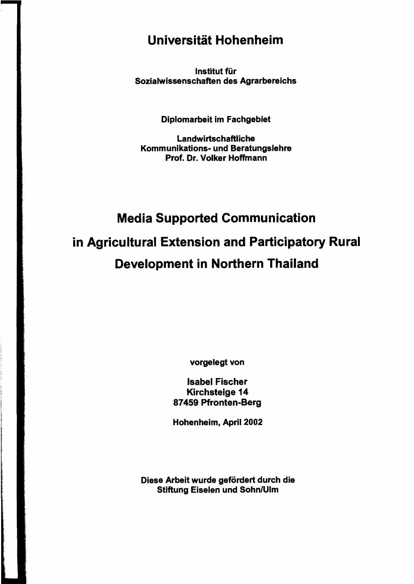## Universität Hohenheim

Institut für Sozialwissenschaften des Agrarbereichs

Diplomarbeit im Fachgebiet

Landwirtschaftliche Kommunikations- und Beratungslehre Prof. Dr. Volker Hoffmann

## Media Supported Communication in Agricultural Extension and Participatory Rural Development in Northern Thailand

vorgelegt von

Isabel Fischer Kirchsteige 14 87459 Pfronten-Berg

Hohenheim, April 2002

Diese Arbeit wurde gefördert durch die Stiftung Eiselen und Sohn/Ulm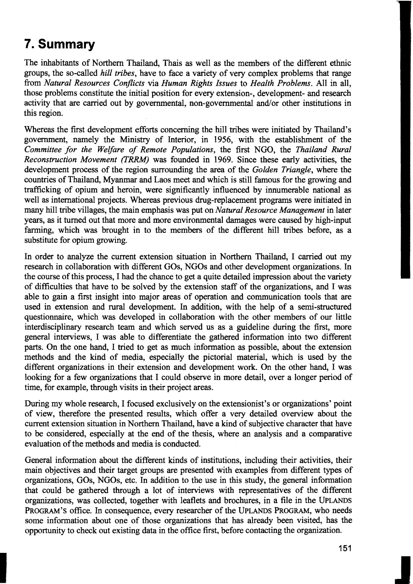## **7. Summary**

The inhabitants of Northern Thailand, Thais as weIl as the members of the different ethnic groups, the so-called *hill tribes,* have to face a variety of very complex problems that range from *Natural Resources Conflicts* via *Human Rights Issues* to *Health Problems.* All in all, those problems constitute the initial position for every extension-, development- and research activity that are carried out by governmental, non-governmental and/or other institutions in this region.

Whereas the first development efforts conceming the hill tribes were initiated by Thailand's government, namely the Ministry of Interior, in 1956, with the establishment of the *Committee for the Welfare of Remote Populations,* the first NGO, the *Thailand Rural Reconstruction Movement (TRRM)* was founded in 1969. Since these early activities, the development process of the region surrounding the area of the *Golden Triangle,* where the countries of Thailand, Myanmar and Laos meet and which is still famous for the growing and trafficking of opium and heroin, were significantly influenced by innumerable national as weIl as international projects. Whereas previous drug-replacement programs were initiated in many hill tribe villages, the main emphasis was put on *Natural Resource Management* in later years, as it turned out that more and more environmental damages were caused by high-input farming, which was brought in to the members of the different hill tribes before, as a substitute for opium growing.

In order to analyze the current extension situation in Northern Thailand, I carried out my research in collaboration with different GOs, NGOs and other development organizations. In the course of this process, I had the chance to get a quite detailed impression about the variety of difficulties that have to be solved by the extension staff of the organizations, and I was able to gain a first insight into major areas of operation and communication tools that are used in extension and rural development. In addition, with the help of a semi-structured questionnaire, which was developed in collaboration with the other members of our little interdisciplinary research team and which served us as a guideline during the first, more general interviews, I was ab1e to differentiate the gathered information into two different parts. On the one hand, I tried to get as much information as possible, about the extension methods and the kind of media, especially the pictorial material, which is used by the different organizations in their extension and development work. On the other hand, I was looking for a few organizations that I could observe in more detail, over a longer period of time, for example, through visits in their project areas.

During my whole research, I focused exclusively on the extensionist's or organizations' point of view, therefore the presented results, which offer a very detailed overview about the current extension situation in Northem Thailand, have a kind of subjective character that have to be considered, especially at the end of the thesis, where an analysis and a comparative evaluation of the methods and media is conducted.

General information about the different kinds of institutions, including their activities, their main objectives and their target groups are presented with examples from different types of organizations, GOs, NGOs, etc. In addition to the use in this study, the general information that could be gathered through a lot of interviews with representatives of the different organizations, was collected, together with leaflets and brochures, in a file in the UPLANDS PROGRAM'S office. In consequence, every researcher of the UPLANDS PROGRAM, who needs some information about one of those organizations that has already been visited, has the opportunity to check out existing data in the office first, before contacting the organization.